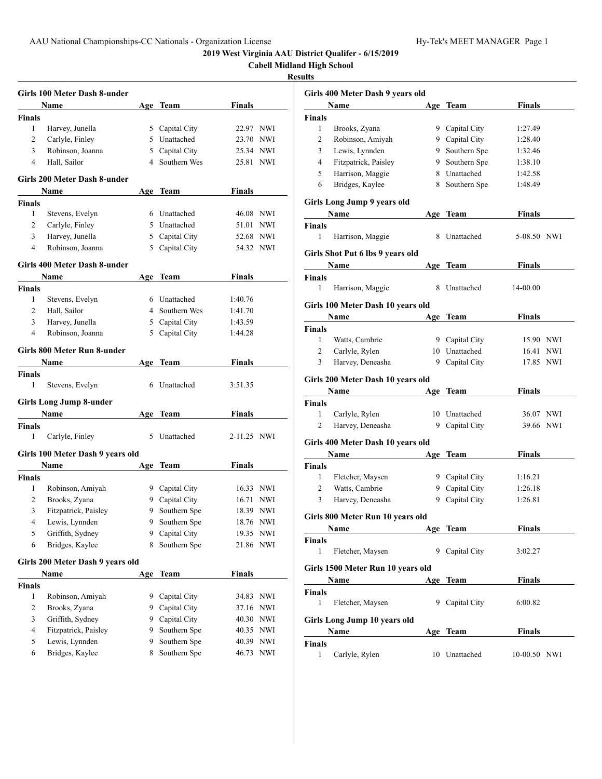**Cabell Midland High School**

## **Results**

|                | Girls 100 Meter Dash 8-under     |     |                |               |            |
|----------------|----------------------------------|-----|----------------|---------------|------------|
|                | Name                             |     | Age Team       | Finals        |            |
| Finals         |                                  |     |                |               |            |
| 1              | Harvey, Junella                  |     | 5 Capital City | 22.97 NWI     |            |
| 2              | Carlyle, Finley                  |     | 5 Unattached   | 23.70 NWI     |            |
| 3              | Robinson, Joanna                 |     | 5 Capital City | 25.34 NWI     |            |
| 4              | Hall, Sailor                     | 4   | Southern Wes   | 25.81         | <b>NWI</b> |
|                | Girls 200 Meter Dash 8-under     |     |                |               |            |
|                | Name                             |     | Age Team       | Finals        |            |
| <b>Finals</b>  |                                  |     |                |               |            |
| 1              | Stevens, Evelyn                  |     | 6 Unattached   | 46.08 NWI     |            |
| 2              | Carlyle, Finley                  |     | 5 Unattached   | 51.01         | NWI        |
| 3              | Harvey, Junella                  | 5   | Capital City   | 52.68 NWI     |            |
| 4              | Robinson, Joanna                 | 5   | Capital City   | 54.32 NWI     |            |
|                | Girls 400 Meter Dash 8-under     |     |                |               |            |
|                | Name                             |     | Age Team       | Finals        |            |
| Finals         |                                  |     |                |               |            |
| 1              | Stevens, Evelyn                  |     | 6 Unattached   | 1:40.76       |            |
| 2              | Hall, Sailor                     |     | 4 Southern Wes | 1:41.70       |            |
| 3              | Harvey, Junella                  |     | 5 Capital City | 1:43.59       |            |
| $\overline{4}$ | Robinson, Joanna                 |     | 5 Capital City | 1:44.28       |            |
|                | Girls 800 Meter Run 8-under      |     |                |               |            |
|                | <b>Name</b>                      |     | Age Team       | <b>Finals</b> |            |
| <b>Finals</b>  |                                  |     |                |               |            |
| 1              | Stevens, Evelyn                  | 6   | Unattached     | 3:51.35       |            |
|                | <b>Girls Long Jump 8-under</b>   |     |                |               |            |
|                | Name                             |     | Age Team       | Finals        |            |
| Finals         |                                  |     |                |               |            |
| 1              | Carlyle, Finley                  | 5   | Unattached     | 2-11.25 NWI   |            |
|                | Girls 100 Meter Dash 9 years old |     |                |               |            |
|                | Name                             |     | Age Team       | Finals        |            |
| Finals         |                                  |     |                |               |            |
| 1              | Robinson, Amiyah                 |     | 9 Capital City | 16.33 NWI     |            |
| 2              | Brooks, Zyana                    |     | 9 Capital City | 16.71         | NWI        |
| 3              | Fitzpatrick, Paisley             | 9   | Southern Spe   | 18.39 NWI     |            |
| $\overline{4}$ | Lewis, Lynnden                   | 9   | Southern Spe   | 18.76 NWI     |            |
| 5              | Griffith, Sydney                 | 9   | Capital City   | 19.35 NWI     |            |
| 6              | Bridges, Kaylee                  | 8   | Southern Spe   | 21.86         | NWI        |
|                | Girls 200 Meter Dash 9 years old |     |                |               |            |
|                | Name                             | Age | <b>Team</b>    | Finals        |            |
| Finals         |                                  |     |                |               |            |
| 1              | Robinson, Amiyah                 | 9   | Capital City   | 34.83         | NWI        |
| 2              | Brooks, Zyana                    | 9   | Capital City   | 37.16         | NWI        |
| 3              | Griffith, Sydney                 | 9   | Capital City   | 40.30         | NWI        |
| 4              | Fitzpatrick, Paisley             | 9   | Southern Spe   | 40.35         | NWI        |
| 5              | Lewis, Lynnden                   | 9   | Southern Spe   | 40.39         | <b>NWI</b> |
| 6              | Bridges, Kaylee                  | 8   | Southern Spe   | 46.73         | NWI        |
|                |                                  |     |                |               |            |

|             | Girls 400 Meter Dash 9 years old  |   |                |               |     |
|-------------|-----------------------------------|---|----------------|---------------|-----|
|             | Name                              |   | Age Team       | <b>Finals</b> |     |
| Finals      |                                   |   |                |               |     |
| 1           | Brooks, Zyana                     |   | 9 Capital City | 1:27.49       |     |
| 2           | Robinson, Amiyah                  |   | 9 Capital City | 1:28.40       |     |
| 3           | Lewis, Lynnden                    |   | 9 Southern Spe | 1:32.46       |     |
| 4           | Fitzpatrick, Paisley              |   | 9 Southern Spe | 1:38.10       |     |
| 5           | Harrison, Maggie                  |   | 8 Unattached   | 1:42.58       |     |
| 6           | Bridges, Kaylee                   |   | 8 Southern Spe | 1:48.49       |     |
|             | Girls Long Jump 9 years old       |   |                |               |     |
|             | Name                              |   | Age Team       | Finals        |     |
| Finals      |                                   |   |                |               |     |
| 1           | Harrison, Maggie                  | 8 | Unattached     | 5-08.50 NWI   |     |
|             | Girls Shot Put 6 lbs 9 years old  |   |                |               |     |
|             | Name                              |   | Age Team       | Finals        |     |
| Finals      |                                   |   |                |               |     |
| 1           | Harrison, Maggie                  | 8 | Unattached     | 14-00.00      |     |
|             | Girls 100 Meter Dash 10 years old |   |                |               |     |
|             | Name                              |   | Age Team       | <b>Finals</b> |     |
| Finals      |                                   |   |                |               |     |
| 1           | Watts, Cambrie                    |   | 9 Capital City | 15.90 NWI     |     |
| 2           | Carlyle, Rylen                    |   | 10 Unattached  | 16.41         | NWI |
| 3           | Harvey, Deneasha                  |   | 9 Capital City | 17.85 NWI     |     |
|             |                                   |   |                |               |     |
|             | Girls 200 Meter Dash 10 years old |   |                |               |     |
|             | Name                              |   | Age Team       | Finals        |     |
| Finals      |                                   |   |                |               |     |
| 1           | Carlyle, Rylen                    |   | 10 Unattached  | 36.07         | NWI |
| 2           | Harvey, Deneasha                  |   | 9 Capital City | 39.66 NWI     |     |
|             | Girls 400 Meter Dash 10 years old |   |                |               |     |
|             | Name                              |   | Age Team       | <b>Finals</b> |     |
| Finals      |                                   |   |                |               |     |
| 1           | Fletcher, Maysen                  |   | 9 Capital City | 1:16.21       |     |
| 2           | Watts, Cambrie                    |   | 9 Capital City | 1:26.18       |     |
| 3           | Harvey, Deneasha                  | 9 | Capital City   | 1:26.81       |     |
|             | Girls 800 Meter Run 10 years old  |   |                |               |     |
|             | <b>Name</b>                       |   | Age Team       | <b>Finals</b> |     |
| Finals      |                                   |   |                |               |     |
| 1           | Fletcher, Maysen                  |   | 9 Capital City | 3:02.27       |     |
|             | Girls 1500 Meter Run 10 years old |   |                |               |     |
|             | Name                              |   | Age Team       | <b>Finals</b> |     |
| Finals      |                                   |   |                |               |     |
| 1           | Fletcher, Maysen                  |   | 9 Capital City | 6:00.82       |     |
|             | Girls Long Jump 10 years old      |   |                |               |     |
|             | Name                              |   | Age Team       | <b>Finals</b> |     |
|             |                                   |   |                |               |     |
| Finals<br>1 | Carlyle, Rylen                    |   | 10 Unattached  | 10-00.50 NWI  |     |
|             |                                   |   |                |               |     |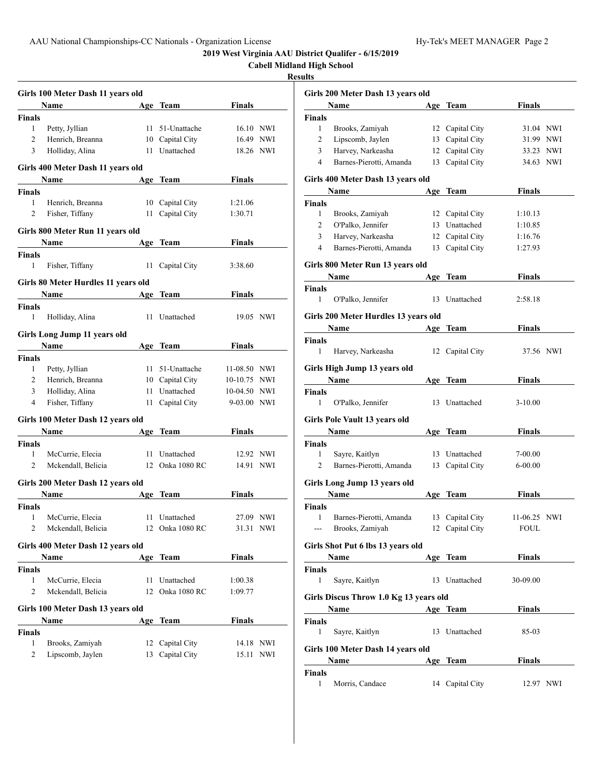|                                |                                     |                 |               |           | <b>Cabell Midland High School</b><br><b>Results</b> |                       |
|--------------------------------|-------------------------------------|-----------------|---------------|-----------|-----------------------------------------------------|-----------------------|
|                                |                                     |                 |               |           |                                                     |                       |
|                                | Girls 100 Meter Dash 11 years old   |                 |               |           |                                                     | Girls 200 Met         |
|                                | Name                                | Age Team        | <b>Finals</b> |           |                                                     | Name                  |
| <b>Finals</b>                  |                                     |                 |               |           | <b>Finals</b>                                       |                       |
| $\mathbf{1}$                   | Petty, Jyllian                      | 11 51-Unattache |               | 16.10 NWI | $\mathbf{1}$                                        | <b>Brooks</b>         |
| $\overline{c}$                 | Henrich, Breanna                    | 10 Capital City |               | 16.49 NWI | 2                                                   | Lipsco                |
| 3                              | Holliday, Alina                     | 11 Unattached   | 18.26 NWI     |           | 3                                                   | Harvey                |
|                                | Girls 400 Meter Dash 11 years old   |                 |               |           | 4                                                   | Barnes                |
|                                | <b>Name</b>                         | Age Team        | <b>Finals</b> |           |                                                     | Girls 400 Met         |
| <b>Finals</b>                  |                                     |                 |               |           |                                                     | Name                  |
| 1                              | Henrich, Breanna                    | 10 Capital City | 1:21.06       |           | Finals                                              |                       |
| $\overline{c}$                 | Fisher, Tiffany                     | 11 Capital City | 1:30.71       |           | 1                                                   | <b>Brooks</b>         |
|                                |                                     |                 |               |           | 2                                                   | O'Palk                |
|                                | Girls 800 Meter Run 11 years old    |                 |               |           | 3                                                   | Harvey                |
|                                | <b>Name</b>                         | Age Team        | <b>Finals</b> |           | 4                                                   | Barnes                |
| <b>Finals</b>                  |                                     |                 |               |           |                                                     |                       |
| $\mathbf{1}$                   | Fisher, Tiffany                     | 11 Capital City | 3:38.60       |           |                                                     | Girls 800 Met         |
|                                | Girls 80 Meter Hurdles 11 years old |                 |               |           |                                                     | Name                  |
|                                | <b>Name</b>                         | Age Team        | <b>Finals</b> |           | <b>Finals</b>                                       |                       |
| <b>Finals</b>                  |                                     |                 |               |           | $\mathbf{1}$                                        | O'Palk                |
| $\mathbf{1}$                   | Holliday, Alina                     | 11 Unattached   | 19.05 NWI     |           |                                                     | Girls 200 Met         |
|                                |                                     |                 |               |           |                                                     | Name                  |
|                                | Girls Long Jump 11 years old        |                 |               |           | <b>Finals</b>                                       |                       |
|                                | Name                                | Age Team        | <b>Finals</b> |           | $\mathbf{1}$                                        | Harvey                |
| <b>Finals</b>                  |                                     |                 |               |           |                                                     |                       |
| 1                              | Petty, Jyllian                      | 11 51-Unattache | 11-08.50 NWI  |           |                                                     | <b>Girls High Ju</b>  |
| $\overline{c}$                 | Henrich, Breanna                    | 10 Capital City | 10-10.75 NWI  |           |                                                     | Name                  |
| 3                              | Holliday, Alina                     | 11 Unattached   | 10-04.50 NWI  |           | Finals                                              |                       |
| $\overline{4}$                 | Fisher, Tiffany                     | 11 Capital City | 9-03.00 NWI   |           | 1                                                   | O'Palk                |
|                                | Girls 100 Meter Dash 12 years old   |                 |               |           |                                                     | <b>Girls Pole Vat</b> |
|                                | Name                                | Age Team        | <b>Finals</b> |           |                                                     | Name                  |
| <b>Finals</b>                  |                                     |                 |               |           | <b>Finals</b>                                       |                       |
| $\mathbf{1}$                   | McCurrie, Elecia                    | 11 Unattached   |               | 12.92 NWI | $\mathbf{1}$                                        | Sayre,                |
| $\overline{c}$                 | Mckendall, Belicia                  | 12 Onka 1080 RC | 14.91 NWI     |           | 2                                                   | Barnes                |
|                                |                                     |                 |               |           |                                                     |                       |
|                                | Girls 200 Meter Dash 12 years old   |                 |               |           |                                                     | <b>Girls Long Ju</b>  |
|                                | <b>Name</b>                         | Age Team        | <b>Finals</b> |           |                                                     | Name                  |
| <b>Finals</b>                  |                                     |                 |               |           | <b>Finals</b>                                       |                       |
| $\mathbf{1}$<br>$\overline{2}$ | McCurrie, Elecia                    | 11 Unattached   |               | 27.09 NWI | $\mathbf{1}$                                        | Barnes                |
|                                | Mckendall, Belicia                  | 12 Onka 1080 RC |               | 31.31 NWI | ---                                                 | <b>Brooks</b>         |
|                                | Girls 400 Meter Dash 12 years old   |                 |               |           |                                                     | <b>Girls Shot Put</b> |
|                                | Name                                | Age Team        | <b>Finals</b> |           |                                                     | Name                  |
| <b>Finals</b>                  |                                     |                 |               |           | Finals                                              |                       |
| 1                              | McCurrie, Elecia                    | 11 Unattached   | 1:00.38       |           | 1                                                   | Sayre,                |
| 2                              | Mckendall, Belicia                  | 12 Onka 1080 RC | 1:09.77       |           |                                                     | <b>Girls Discus T</b> |
|                                |                                     |                 |               |           |                                                     |                       |
|                                | Girls 100 Meter Dash 13 years old   | Age Team        | <b>Finals</b> |           |                                                     | Name                  |
| <b>Finals</b>                  | Name                                |                 |               |           | <b>Finals</b><br>1                                  | Sayre,                |
| $\mathbf{1}$                   | Brooks, Zamiyah                     | 12 Capital City |               | 14.18 NWI |                                                     |                       |
| 2                              | Lipscomb, Jaylen                    | 13 Capital City |               | 15.11 NWI |                                                     | Girls 100 Met         |
|                                |                                     |                 |               |           |                                                     | Name                  |
|                                |                                     |                 |               |           | Finals                                              |                       |

| ιιιэ           |                                                                                                                                                                                                                               |                 |               |  |
|----------------|-------------------------------------------------------------------------------------------------------------------------------------------------------------------------------------------------------------------------------|-----------------|---------------|--|
|                | Girls 200 Meter Dash 13 years old                                                                                                                                                                                             |                 |               |  |
|                | Name                                                                                                                                                                                                                          | Age Team        | <b>Finals</b> |  |
| Finals         |                                                                                                                                                                                                                               |                 |               |  |
| 1              | Brooks, Zamiyah                                                                                                                                                                                                               | 12 Capital City | 31.04 NWI     |  |
| $\overline{c}$ | Lipscomb, Jaylen                                                                                                                                                                                                              | 13 Capital City | 31.99 NWI     |  |
| 3              | Harvey, Narkeasha                                                                                                                                                                                                             | 12 Capital City | 33.23 NWI     |  |
| 4              | Barnes-Pierotti, Amanda 13 Capital City                                                                                                                                                                                       |                 | 34.63 NWI     |  |
|                | Girls 400 Meter Dash 13 years old                                                                                                                                                                                             |                 |               |  |
|                | <b>Name</b>                                                                                                                                                                                                                   | Age Team        | <b>Finals</b> |  |
| Finals         |                                                                                                                                                                                                                               |                 |               |  |
| 1              | Brooks, Zamiyah                                                                                                                                                                                                               | 12 Capital City | 1:10.13       |  |
| 2              | O'Palko, Jennifer                                                                                                                                                                                                             | 13 Unattached   | 1:10.85       |  |
| 3              | Harvey, Narkeasha                                                                                                                                                                                                             | 12 Capital City | 1:16.76       |  |
| 4              | Barnes-Pierotti, Amanda 13 Capital City                                                                                                                                                                                       |                 | 1:27.93       |  |
|                |                                                                                                                                                                                                                               |                 |               |  |
|                | Girls 800 Meter Run 13 years old                                                                                                                                                                                              |                 |               |  |
|                | <b>Name</b>                                                                                                                                                                                                                   | Age Team        | Finals        |  |
| Finals         |                                                                                                                                                                                                                               |                 |               |  |
| 1              | O'Palko, Jennifer                                                                                                                                                                                                             | 13 Unattached   | 2:58.18       |  |
|                | Girls 200 Meter Hurdles 13 years old                                                                                                                                                                                          |                 |               |  |
|                | <b>Name</b>                                                                                                                                                                                                                   | Age Team        | <b>Finals</b> |  |
| Finals         |                                                                                                                                                                                                                               |                 |               |  |
| 1              | Harvey, Narkeasha                                                                                                                                                                                                             | 12 Capital City | 37.56 NWI     |  |
|                |                                                                                                                                                                                                                               |                 |               |  |
|                | Girls High Jump 13 years old                                                                                                                                                                                                  |                 |               |  |
|                | Name                                                                                                                                                                                                                          | Age Team        | Finals        |  |
| Finals         |                                                                                                                                                                                                                               |                 |               |  |
| 1              | O'Palko, Jennifer                                                                                                                                                                                                             | 13 Unattached   | $3-10.00$     |  |
|                | Girls Pole Vault 13 years old                                                                                                                                                                                                 |                 |               |  |
|                | Name                                                                                                                                                                                                                          | Age Team        | Finals        |  |
| Finals         |                                                                                                                                                                                                                               |                 |               |  |
| $\mathbf{1}$   | Sayre, Kaitlyn                                                                                                                                                                                                                | 13 Unattached   | 7-00.00       |  |
| 2              | Barnes-Pierotti, Amanda                                                                                                                                                                                                       | 13 Capital City | $6 - 00.00$   |  |
|                |                                                                                                                                                                                                                               |                 |               |  |
|                | Girls Long Jump 13 years old                                                                                                                                                                                                  |                 |               |  |
|                | Name                                                                                                                                                                                                                          | Age Team        | <b>Finals</b> |  |
| Finals         | 1 Barnes-Pierotti, Amanda 13 Capital City                                                                                                                                                                                     |                 | 11-06.25 NWI  |  |
|                | --- Brooks, Zamiyah                                                                                                                                                                                                           | 12 Capital City | <b>FOUL</b>   |  |
|                |                                                                                                                                                                                                                               |                 |               |  |
|                | Girls Shot Put 6 lbs 13 years old                                                                                                                                                                                             |                 |               |  |
|                | Name and the same state of the state of the state of the state of the state of the state of the state of the state of the state of the state of the state of the state of the state of the state of the state of the state of | Age Team        | Finals        |  |
| Finals         |                                                                                                                                                                                                                               |                 |               |  |
| 1              | Sayre, Kaitlyn                                                                                                                                                                                                                | 13 Unattached   | 30-09.00      |  |
|                | Girls Discus Throw 1.0 Kg 13 years old                                                                                                                                                                                        |                 |               |  |
|                | Name<br><b>Example 2</b> Age Team                                                                                                                                                                                             |                 | Finals        |  |
| Finals         |                                                                                                                                                                                                                               |                 |               |  |
| 1              | Sayre, Kaitlyn                                                                                                                                                                                                                | 13 Unattached   | 85-03         |  |
|                |                                                                                                                                                                                                                               |                 |               |  |
|                | Girls 100 Meter Dash 14 years old                                                                                                                                                                                             |                 |               |  |
|                |                                                                                                                                                                                                                               | Age Team        | Finals        |  |
| Finals         |                                                                                                                                                                                                                               |                 |               |  |
| 1              | Morris, Candace                                                                                                                                                                                                               | 14 Capital City | 12.97 NWI     |  |
|                |                                                                                                                                                                                                                               |                 |               |  |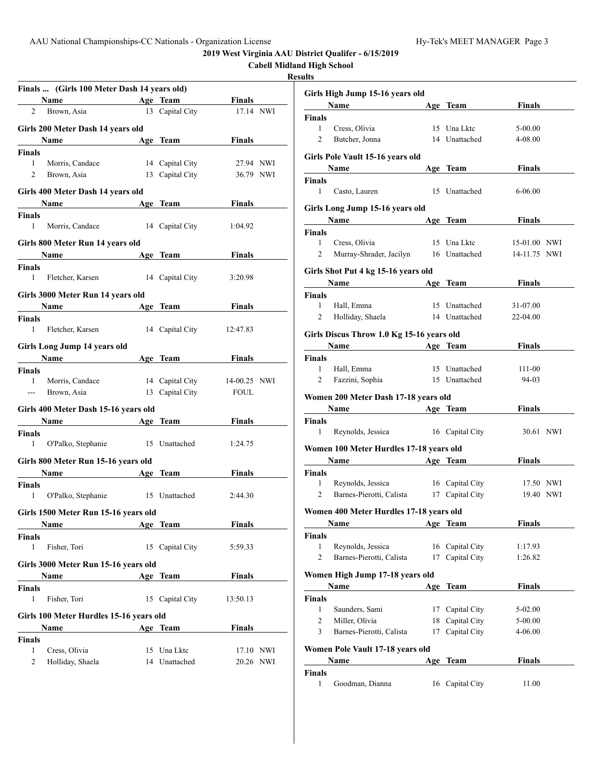|                        |                                                                                                                                                                                                                               |                 |               |           | <b>Cabell Midland High School</b><br><b>Results</b> |               |
|------------------------|-------------------------------------------------------------------------------------------------------------------------------------------------------------------------------------------------------------------------------|-----------------|---------------|-----------|-----------------------------------------------------|---------------|
|                        |                                                                                                                                                                                                                               |                 |               |           |                                                     |               |
|                        | Finals  (Girls 100 Meter Dash 14 years old)<br><b>Example 2</b> Age Team<br>Name                                                                                                                                              |                 | Finals        |           | <b>Girls High Ju</b>                                |               |
| $\overline{2}$         | Brown, Asia                                                                                                                                                                                                                   | 13 Capital City | 17.14 NWI     |           |                                                     | Name          |
|                        |                                                                                                                                                                                                                               |                 |               |           | <b>Finals</b>                                       |               |
|                        | Girls 200 Meter Dash 14 years old                                                                                                                                                                                             |                 |               |           | $\mathbf{1}$                                        | Cress,        |
|                        | Name<br><b>Example 2</b> Age Team                                                                                                                                                                                             |                 | <b>Finals</b> |           | $\overline{2}$                                      | Butche        |
| Finals                 |                                                                                                                                                                                                                               |                 |               |           | <b>Girls Pole Vat</b>                               |               |
| $\mathbf{1}$           | Morris, Candace                                                                                                                                                                                                               | 14 Capital City | 27.94 NWI     |           |                                                     | Name          |
| $\overline{2}$         | Brown, Asia                                                                                                                                                                                                                   | 13 Capital City | 36.79 NWI     |           | <b>Finals</b>                                       |               |
|                        | Girls 400 Meter Dash 14 years old                                                                                                                                                                                             |                 |               |           | 1                                                   | Casto,        |
|                        | Name Age Team                                                                                                                                                                                                                 |                 | <b>Finals</b> |           |                                                     |               |
|                        |                                                                                                                                                                                                                               |                 |               |           | <b>Girls Long Ju</b>                                |               |
| Finals<br>$\mathbf{1}$ | Morris, Candace 14 Capital City                                                                                                                                                                                               |                 |               |           |                                                     | Name          |
|                        |                                                                                                                                                                                                                               |                 | 1:04.92       |           | Finals                                              |               |
|                        | Girls 800 Meter Run 14 years old                                                                                                                                                                                              |                 |               |           | 1                                                   | Cress,        |
|                        | Name and the same state of the same state of the same state of the same state of the same state of the same state of the same state of the same state of the same state of the same state of the same state of the same state | Age Team        | <b>Finals</b> |           | 2                                                   | Murray        |
| Finals                 |                                                                                                                                                                                                                               |                 |               |           |                                                     |               |
| $\mathbf{1}$           | Fletcher, Karsen                                                                                                                                                                                                              | 14 Capital City | 3:20.98       |           | <b>Girls Shot Put</b>                               |               |
|                        |                                                                                                                                                                                                                               |                 |               |           |                                                     | Name          |
|                        | Girls 3000 Meter Run 14 years old                                                                                                                                                                                             |                 |               |           | <b>Finals</b>                                       |               |
|                        | Name Age Team                                                                                                                                                                                                                 |                 | Finals        |           | $\mathbf{1}$                                        | Hall, E       |
| Finals                 |                                                                                                                                                                                                                               |                 |               |           | $\overline{2}$                                      | Hollida       |
| 1                      | Fletcher, Karsen 14 Capital City                                                                                                                                                                                              |                 | 12:47.83      |           | <b>Girls Discus T</b>                               |               |
|                        | Girls Long Jump 14 years old                                                                                                                                                                                                  |                 |               |           |                                                     | Name          |
|                        | <b>Name</b>                                                                                                                                                                                                                   | Age Team        | <b>Finals</b> |           | Finals                                              |               |
| Finals                 |                                                                                                                                                                                                                               |                 |               |           | $\mathbf{1}$                                        | Hall, E       |
| $\mathbf{1}$           | Morris, Candace                                                                                                                                                                                                               | 14 Capital City | 14-00.25 NWI  |           | 2                                                   | Fazzin        |
| $\sim$                 | Brown, Asia                                                                                                                                                                                                                   | 13 Capital City | <b>FOUL</b>   |           |                                                     |               |
|                        |                                                                                                                                                                                                                               |                 |               |           | <b>Women 200 M</b>                                  |               |
|                        | Girls 400 Meter Dash 15-16 years old                                                                                                                                                                                          |                 |               |           |                                                     | Name          |
|                        | Name Age Team                                                                                                                                                                                                                 |                 | <b>Finals</b> |           | Finals                                              |               |
| <b>Finals</b>          |                                                                                                                                                                                                                               |                 |               |           | $\mathbf{1}$                                        | Reyno!        |
| $\mathbf{1}$           | O'Palko, Stephanie 15 Unattached                                                                                                                                                                                              |                 | 1:24.75       |           | Women 100 M                                         |               |
|                        | Girls 800 Meter Run 15-16 years old                                                                                                                                                                                           |                 |               |           |                                                     | Name          |
|                        | Name                                                                                                                                                                                                                          |                 | <b>Finals</b> |           | <b>Finals</b>                                       |               |
|                        |                                                                                                                                                                                                                               | Age Team        |               |           | $\mathbf{1}$                                        | Reyno.        |
| Finals<br>$\mathbf{1}$ | O'Palko, Stephanie 15 Unattached                                                                                                                                                                                              |                 | 2:44.30       |           | $\overline{2}$                                      | Barnes        |
|                        |                                                                                                                                                                                                                               |                 |               |           |                                                     |               |
|                        | Girls 1500 Meter Run 15-16 years old                                                                                                                                                                                          |                 |               |           | Women 400 M                                         |               |
|                        | Name                                                                                                                                                                                                                          | Age Team        | <b>Finals</b> |           |                                                     | Name          |
| Finals                 |                                                                                                                                                                                                                               |                 |               |           | Finals                                              |               |
| $\mathbf{1}$           | Fisher, Tori                                                                                                                                                                                                                  | 15 Capital City | 5:59.33       |           | 1                                                   | Reyno!        |
|                        |                                                                                                                                                                                                                               |                 |               |           | 2                                                   | <b>Barnes</b> |
|                        | Girls 3000 Meter Run 15-16 years old                                                                                                                                                                                          |                 |               |           |                                                     |               |
|                        | Name                                                                                                                                                                                                                          | Age Team        | <b>Finals</b> |           | Women High                                          |               |
| <b>Finals</b>          |                                                                                                                                                                                                                               |                 |               |           |                                                     | <b>Name</b>   |
| 1                      | Fisher, Tori                                                                                                                                                                                                                  | 15 Capital City | 13:50.13      |           | <b>Finals</b>                                       |               |
|                        | Girls 100 Meter Hurdles 15-16 years old                                                                                                                                                                                       |                 |               |           | 1                                                   | Saunde        |
|                        | Name                                                                                                                                                                                                                          | Age Team        | <b>Finals</b> |           | 2                                                   | Miller,       |
| <b>Finals</b>          |                                                                                                                                                                                                                               |                 |               |           | 3                                                   | Barnes        |
| 1                      | Cress, Olivia                                                                                                                                                                                                                 | 15 Una Lktc     |               | 17.10 NWI | <b>Women Pole</b>                                   |               |
| 2                      | Holliday, Shaela                                                                                                                                                                                                              | 14 Unattached   |               | 20.26 NWI |                                                     | Name          |

| ılts          |                                                       |     |                 |               |  |
|---------------|-------------------------------------------------------|-----|-----------------|---------------|--|
|               | Girls High Jump 15-16 years old                       |     |                 |               |  |
|               | Name                                                  |     | Age Team        | Finals        |  |
| Finals        |                                                       |     |                 |               |  |
| 1             | Cress, Olivia                                         |     | 15 Una Lktc     | 5-00.00       |  |
| 2             | Butcher, Jonna                                        |     | 14 Unattached   | 4-08.00       |  |
|               | Girls Pole Vault 15-16 years old                      |     |                 |               |  |
|               | Name                                                  |     | Age Team        | <b>Finals</b> |  |
| Finals        |                                                       |     |                 |               |  |
| 1             | Casto, Lauren                                         | 15  | Unattached      | 6-06.00       |  |
|               | Girls Long Jump 15-16 years old                       |     |                 |               |  |
|               | Name                                                  |     | Age Team        | <b>Finals</b> |  |
| Finals        |                                                       |     |                 |               |  |
| 1             | Cress, Olivia                                         |     | 15 Una Lktc     | 15-01.00 NWI  |  |
| 2             | Murray-Shrader, Jacilyn 16 Unattached                 |     |                 | 14-11.75 NWI  |  |
|               | Girls Shot Put 4 kg 15-16 years old                   |     |                 |               |  |
|               | Name                                                  |     | Age Team        | <b>Finals</b> |  |
| Finals        |                                                       |     |                 |               |  |
| 1             | Hall, Emma                                            |     | 15 Unattached   | 31-07.00      |  |
| 2             | Holliday, Shaela                                      |     | 14 Unattached   | 22-04.00      |  |
|               |                                                       |     |                 |               |  |
|               | Girls Discus Throw 1.0 Kg 15-16 years old<br>Age Team |     |                 |               |  |
|               | Name                                                  |     |                 | <b>Finals</b> |  |
| Finals<br>1   | Hall, Emma                                            |     | 15 Unattached   | 111-00        |  |
| 2             | Fazzini, Sophia                                       |     | 15 Unattached   | 94-03         |  |
|               |                                                       |     |                 |               |  |
|               | Women 200 Meter Dash 17-18 years old                  |     |                 |               |  |
|               | Name                                                  |     | Age Team        | <b>Finals</b> |  |
| Finals<br>1   |                                                       |     |                 | 30.61 NWI     |  |
|               | Reynolds, Jessica                                     |     | 16 Capital City |               |  |
|               | Women 100 Meter Hurdles 17-18 years old               |     |                 |               |  |
|               | Name                                                  |     | Age Team        | <b>Finals</b> |  |
| Finals        |                                                       |     |                 |               |  |
| 1             | Reynolds, Jessica                                     |     | 16 Capital City | 17.50 NWI     |  |
| 2             | Barnes-Pierotti, Calista                              |     | 17 Capital City | 19.40 NWI     |  |
|               | Women 400 Meter Hurdles 17-18 years old               |     |                 |               |  |
|               | Name                                                  |     | Age Team        | <b>Finals</b> |  |
| Finals        |                                                       |     |                 |               |  |
| 1             | Reynolds, Jessica                                     | 16  | Capital City    | 1:17.93       |  |
| 2             | Barnes-Pierotti, Calista                              | 17  | Capital City    | 1:26.82       |  |
|               | Women High Jump 17-18 years old                       |     |                 |               |  |
|               | Name                                                  |     | Age Team        | <b>Finals</b> |  |
| <b>Finals</b> |                                                       |     |                 |               |  |
| 1             | Saunders, Sami                                        | 17  | Capital City    | 5-02.00       |  |
| 2             | Miller, Olivia                                        | 18  | Capital City    | 5-00.00       |  |
| 3             | Barnes-Pierotti, Calista                              | 17  | Capital City    | 4-06.00       |  |
|               | Women Pole Vault 17-18 years old                      |     |                 |               |  |
|               | Name                                                  | Age | <b>Team</b>     | <b>Finals</b> |  |
| Finals        |                                                       |     |                 |               |  |
| 1             | Goodman, Dianna                                       |     | 16 Capital City | 11.00         |  |